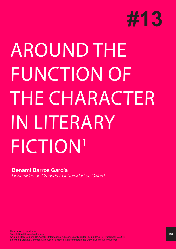

# AROUND THE FUNCTION OF THE CHARACTER IN LITERARY FICTION<sup>1</sup>

# **Benamí Barros García** *Universidad de Granada / Universidad de Oxford*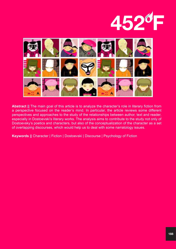



**Abstract ||** The main goal of this article is to analyze the character's role in literary fiction from a perspective focused on the reader's mind. In particular, the article reviews some different perspectives and approaches to the study of the relationships between author, text and reader, especially in Dostoevski's literary works. The analysis aims to contribute to the study not only of Dostoevsky's poetics and characters, but also of the conceptualization of the character as a set of overlapping discourses, which would help us to deal with some narratology issues.

**Keywords ||** Character | Fiction | Dostoevski | Discourse | Psychology of Fiction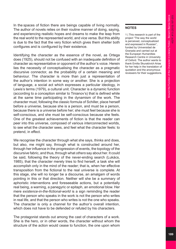In the spaces of fiction there are beings capable of living normally. The author of novels relies on their routine manner of doing, saying, and experiencing realistic hopes and dreams to make the leap from the real world to the represented world, and vice versa. But this ability is due to the fact that the very fiction which gives them shelter both configures and is configured by their existence.

Identifying the character as the essence of the novel, as Ortega does (1925), should not be confused with an inadequate definition of character as representative or opponent of the author's voice. Herein lies the necessity of conceptualising the character as a pragmatic discursive connector, as the probability of a certain meaning and behaviour. The character is more than just a representation of the author's intention in some way or another. She is a projection of language, a social act which expresses a particular ideology, in Lewis's terms (1979), a cultural unit. Character is a dynamic function (according to a conception similar to Tinianov's) that is defined while at the same time participating in the dynamism of the work. The character must, following the classic formula of Schiller, place herself before a universe, because she is a person, and must be a person, because there is a universe before her; she must feel because she is self-conscious, and she must be self-conscious because she feels. One of the greatest achievements of fiction is that the reader can peer into this universe, composed of various interconnected worlds, to see what the character sees, and feel what the character feels: to pretend, in effect.

We recognise the character through what she says, thinks and does, but also, me might say, through what is constructed around her, through her influence in the progression of events, the topology of the discursive fabric, and thus, through what *others* say about her. It could be said, following the theory of the never-ending search (Lukács, 1985), that the character merely tries to find herself, a task she will accomplish only in the mind of the reader; that is, when her effective transposition from the fictional to the real universe is complete. At this stage, she will no longer be a discourse, an amalgam of words pointing in this or that direction. Neither will she be a summary of aphoristic interventions and foreseeable actions, but a potentially real being, a warning, a panegyric or epitaph, an emotional blow. Her mere *existence-in-the-fictional-world* is a sign reminding the reader that the person who speaks in the work is not the person who writes in real life, and that the person who writes is not the one who speaks. The character is only a channel for the author's overall intention, which does not have to be defended or refuted by his characters.

The protagonist stands out among the cast of characters of a work. She is the hero, or in other words, the character without whom the structure of the action would cease to function, the one upon whom

### **NOTES**

1 | This research is part of the project "The way the world is perceived, conceptualized and expressed in Russian", funded by Universidad de Granada and carried out at the European Humanities Research Centre in University of Oxford. The author wants to thank Emilia Skuratóvich Arias for her help in the translation of quotation and the anonymous reviewers for their suggestions.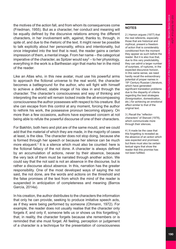the motives of the action fall, and from whom its consequences come (Friedman, 1955). But as a character, her conduct and meaning will be equally defined by the discursive relations among the different characters, in her involvement with, against, thanks to, through, in spite of, and due to the rhetoric of the text. It might never be possible to talk explicitly about her personality, ethics and intentionality, but once integrated into the text that is read, the reader gains a certain impression of them, a mental image. From her name – the categorical imperative of the character, as Spitzer would say<sup>2</sup> – to her physiology, everything in the work is a Barthesian *sign* that marks her in the mind of the reader.

Like an Atlas who, in this new avatar, must use his powerful arms to approach the fictional universe to the real world, the character becomes a battleground for the author, who will fight with himself to achieve a defined, stable image of his idea in and through the character. The character's consciousness and way of thinking and interpreting the world will remain locked inside the all-encompassing consciousness the author possesses with respect to his creature. But she can escape from this control at any moment, forcing the author to rethink his work, the possessive pronoun becoming slippery. On more than a few occasions, authors have expressed concern at not being able to refute the powerful discourse of one of their characters.

For Bakhtin, both hero and plot are of the same mould, and we could add that the material of which they are made, in the majority of cases at least, is the idea. The character does not stop doing, because she is formed through her speech or because her silence can be much more eloquent.<sup>3</sup> It is a silence which must also be counted: here is the fictional fallacy of the not done. A character is always defined by an accumulation of actions, never by their absence, because the very lack of them must be narrated through another action. We could say that the not said is not an absence in the discourse, but is rather a discourse about absence. In this, narration has the greater responsibility. One of the most developed ways of saying the not said, the not done, are the words and actions on the threshold and the false promises of the text from which the mind of the reader is suspended in anticipation of completeness and meaning (Barros García, 2014a).

In his creation, the author distributes to the characters the information that only he can provide, seeking to produce imitative speech acts, as if they were being performed by someone (Ohmann, 1972). For example, the reader does not usually realise that the character only forgets if, and only if, someone tells us or shows us this forgetting,<sup>4</sup> that, in reality, the character forgets because she remembers or is reminded that she must forget. All feeling, perception or judgement of a character is a technique for the presentation of consciousness

### **NOTES**

2 | Hamon argues (1977) that the real referents, especially those that are historical and mythical, present a freedom of action that is considerably conditioned from the moment they appear as such before the reader. But it is also true that, due to this very predictability, they can admit a larger number of surprises, of ruptures, in the expected discursive horizon. In this same sense, we need hardly recall the extraordinary potential of proper names in 19th Century Russian Literature, which have generated significant translation problems due to the disparity of criteria regarding the best strategies (foreignisation, domestication, etc.) for achieving an emotional effect similar to that of the original text.

3 | Recall the "reflectorcharacters" of Stanzel (1978), which communicate more through their silences.

4 | It made be the case that this forgetting is revealed as the absence of an action which was expected and promised, but there must also be certain textual signs that show the reader that this promise has not been fulfilled.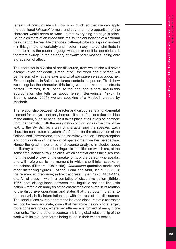(*stream of consciousness).* This is so much so that we can apply the additional *falsidical* formula and say: the mere apparition of the character would seem to warn us that everything he says is false. Being a chimera of an impossible reality, the enunciation of a fictional being cannot be real. Neither does it attempt to be so, aspiring instead – in this game of uncertainty and indeterminacy – to verisimilitude in order to allow the reader to judge whether or not it is appropriate. It therefore swings in the catenary of awakened emotions, being only a gradation of affect.

The character is a victim of her discourse, from which she will never escape (even her death is recounted); the word about herself will be the sum of what she says and what *the universe* says about her. External opinion, in Bakhtinian terms, controls her person. This is how we recognise the character, this being who speaks and constructs herself (Greimas, 1976) because the language is hers, and in this appropriation she tells us about herself (Benveniste, 1970). In Bloom's words (2001), we are speaking of a Macbeth created by Macbeth.

The relationship between character and discourse is a fundamental element for analysis, not only because it can refract or reflect the idea of the author, but also because it takes place at all levels of the work: from the thematic, with the assignation of functions in the flow of the text, to the stylistic, as a way of characterising the speaker. Each character constitutes a system of reference for the observation of the fictionalised universe and, as such, there is a variation in the perception and configuration of the fabric of space-time from her perspective. Hence the great importance of discourse analysis in studies about the literary character and her linguistic specificities (which are, at the same time, behavioural): deictics, which contextualises the discourse from the point of view of the speaker only, of the person who speaks, and with reference to the moment in which she thinks, speaks or enunciates (Fillmore, 1981: 158); *Ohmannian* quotation marks and other distancing figures (Lozano, Peña and Abril, 1997: 159-163); the referenced discourse; indirect address (Tyler, 1978: 4401-441), etc. All of these – within a semiotics of discursive action (Bühler, 1967) that distinguishes between the linguistic act and linguistic action – refer to an analysis of the character's discourse in its relation to the discursive operations and states that they obtain; that is, to the analysis in its interrelationship with the rest of the discourses. The conclusions extracted from the isolated discourse of a character will not be very accurate, given that her voice belongs to a larger, more cohesive group, where her utterance is formed of many more elements. The character-discourse link is a global relationship of the work with its text, both terms being taken in their widest sense.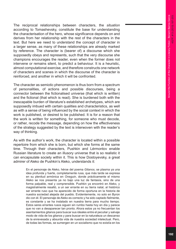The reciprocal relationships between characters, the *situation*  according to Tomashevsky, constitute the base for understanding the characterisation of the hero, whose significance depends on and derives from her relationship with the rest of the characters in the text. But here we need to understand the concept of character in a larger sense, as many of these relationships are already marked by reference. The character is (bearer of) a discourse which she supposedly obeys and represents, such that the very discourse she champions encourages the reader, even when the former does not intervene or remains silent, to predict a behaviour. It is a heuristic, almost computational exercise, and therefore constructs one network of characters and scenes in which the discourse of the character is reinforced, and another in which it will be confronted.

The character as semiotic phenomenon is thus born from a spectrum of personalities, of actions and possible discourses, being a connector between the fictionalised universe (that which is written) and the fictional (that which is read). She is burdened both with the inescapable burden of literature's established archetypes, which are supposedly imbued with certain qualities and characteristics, as well as with a sense of being influenced by the social context in which the work is published, or desired to be published. It is for a reason that the work is written for something, for someone who must decode, or rather, recode the message, depending on how the effectiveness of the strategy suggested by the text is interwoven with the reader's way of thinking.

As with the author's work, the character is located within a possible repertoire from which she is born, but which she forms at the same time. Through their characters, Pushkin and Lérmontov enable Russian literature to create an illusory universe that is so realistic it can encapsulate society within it. This is how Dostoyevsky, a great admirer of Aleko de Pushkin's Aleko, understands it:

> En el personaje de Aleko, héroe del poema *Gitanos*, se plasma ya una idea profunda y fuerte, completamente rusa, que más tarde se expresa en su plenitud armónica en *Oneguin*, donde prácticamente el mismo Aleko se nos presenta ya no bajo una luz de fantasía, sino de una forma palpable, real y comprensible. Pushkin ya encontró en Aleko, y magistralmente resaltó, a un ser errante en su tierra natal, al histórico ser errante ruso que ha aparecido de forma oportuna en la historia de nuestra sociedad alejada del pueblo. Evidentemente, no solo en Byron dio con él. El personaje de Aleko es correcto y ha sido captado fielmente, es constante y se ha instalado en nuestra tierra para mucho tiempo. Estos seres errantes rusos siguen sin rumbo hasta hoy en día y parece que no van a desaparecer tan pronto. Ahora estos ya no frecuentan los asentamientos gitanos para buscar sus ideales entre el peculiar y salvaje modo de vida de los gitanos y para buscar en la naturaleza un descanso de la enrevesada y absurda vida de nuestra sociedad intelectual. Pero, de todas las formas, se sumergen en un socialismo que no existía en los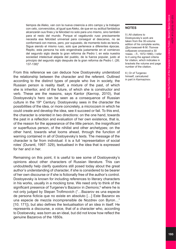tiempos de Aleko, van con la nueva creencia a otro campo y la trabajan con celo, convencidos, al igual que Aleko, de que en su actitud fantástica alcanzarán sus fines y la felicidad no solo para uno mismo, sino también para el resto del mundo. Porque el vagabundo ruso precisamente necesita esa felicidad universal para conseguir el descanso, no se conformará con menos, pero, por supuesto, de momento todo es teoría. Sigue siendo el mismo ruso, solo que pertenece a diferentes épocas. Repito, esta persona ha sido engendrada justamente en el comienzo del segundo siglo desde la gran reforma de Pedro I, en esta nuestra sociedad intelectual alejada del pueblo, de la fuerza popular, justo al principio del segundo siglo después de la gran reforma de Pedro I. (26; 137-138)5

From this reference we can deduce how Dostoyevsky understood the relationship between the character and the referent. Outlined according to the distinct types of people who live in society, the Russian person is reality itself, a mixture of the past, of which she is inheritor, and of the future, of which she is constructor and verb. These are the reasons, says Kantor (Кантор, 2010), that Dostoyevsky's hero can be seen as a consequence of Russian culture in the 19<sup>th</sup> Century. Dostoyevsky sees in the character the possibilities of the idea, or more concretely, a microcosm in which he could create and develop the idea, see it succeed or fail. To this end, the character is oriented in two directions: on the one hand, towards the past in a reflection and evaluation of her own existence, that is, of the reason for the appearance of the little person, the insignificant or superfluous person, of the nihilist and other archetypes; on the other hand, towards what looms ahead, through the function of warning contained in all of Dostoyevsky's texts. The message of the character is far from individual: it is a full 'representation of social roles' (Duranti, 1997: 329), textualised in the idea that is expressed for her and in her.

Remaining on this point, it is useful to see some of Dostoyevsky's opinions about other characters of Russian literature. This can undoubtedly help clarify questions still posed today about the great author's understanding of character, if she is considered to be bearer of her own discourse or if she is fictionally free of the author's control. Dostoyevsky is known for including references to literary characters in his works, usually in a mocking tone. We need only to think of the significant presence of Turgenev's Bazarov in *Demons*, 6 where he is not only judged by Stepan Trofimovich ("…Bazarov es una especie de persona ficticia que no existe en absoluto […] Este Bazarov es una especie de mezcla incomprensible de Nozdrev con Byron…" [10; 171]), but also defines the textualisation of an idea in itself. He represents a discourse, a voice, that of a character who, according to Dostoevsky, was born as an ideal, but did not know how reflect the genuine Bazarovs of the 1850s.

### **NOTES**

5 | All citations to Dostoyevsky's work are taken from the 30-volume edition of his complete works, (Достоевский Ф.М. Полное собрание сочинений в 30 томах. - Л., 1972-1990). I refer to it using the agreed criteria for citation, which indicates in brackets the volume and page number of the citation.

6 | Or of Turgenev himself, caricatured in part in Karmazinov.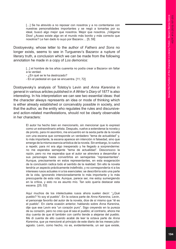[...] Se ha atrevido a no reposar con nosotros y a no contentarse con nuestras personalidades importantes y se negó a tomarlas por su ideal, buscó algo mejor que nosotros. Mejor que nosotros. ¡Válgame Dios! ¿Acaso existe algo en el mundo más bonito y más correcto que nosotros? Le han dado lo suyo por Bazarov… [5; 59]

Dostoyevsky, whose letter to the author of *Fathers and Sons* no longer exists, seems to see in Turguenev's Bazarov a rupture of literary truth, a conclusion which we can be made from the following annotation he made in a copy of *Los demonios:*

> [...] el hombre de los años cuarenta no podía crear a Bazarov sin faltar a la verdad.

- ¿En qué se le ha destrozado?

- En el pedestal en que se encuentra. [11; 72]

Dostoyevsky's analysis of Tolstoy's Levin and *Anna Karenina* in general in various articles published in *A Writer's Diary* of 1877 is also interesting. In his interpretation we can see two essential ideas: that the character always represents an idea or mode of thinking which is either already established or conceivably possible in society, and that the author, as the entity who regulates the rules and discursiveand action-related manifestations, should not be clearly observable in her characters:

> El autor ha hecho bien en mencionarlo, sin mencionar que lo expresó como un extraordinario artista. Después, vuelve a extenderse la novela y de pronto, para mi asombro, me encuentro en la sexta parte de la novela con una escena que corresponde un verdadero "tema de actualidad" y, lo más importante, la escena aparece sin intención ni falsedad, sino que emerge de la misma esencia artística de la novela. Sin embargo, lo vuelvo a repetir, para mí era algo inesperado y he llegado a sorprenderme: no me esperaba semejante "tema de actualidad". Desconozco la razón, pero no me esperaba que el autor se atreviera a desarrollar a sus personajes hasta convertirlos en semejantes "representantes". Aunque, precisamente en estos representantes, en esta exageración de la conclusión radica todo el sentido de la realidad. Sin ello la novela tendría un aspecto prácticamente indefinido, y no correspondería ni a los intereses rusos actuales ni a los esenciales: se describiría solo una parte de la vida, ignorando intencionadamente lo más importante y lo más preocupante de esta vida. Aunque, parece ser, me estoy sumergiendo en la crítica, y esto no es asunto mío. Tan solo quería destacar esta escena. [25; 53]

> Aquí muchos de los intelectuales rusos ahora suelen decir: "¿Qué pueblo? Yo soy el pueblo". En la octava parte de *Anna Karenina*, Levin, el personaje favorito del autor de la novela, dice de sí mismo que "él es el pueblo". En cierta ocasión anterior, hablando sobre *Anna Karenina*, dije que ese Levin era "un corazón puro". Sigo creyendo en la pureza de su corazón, pero no creo que él sea el pueblo; al contrario, ahora me doy cuenta de que él también con cariño tiende a alejarse del pueblo. Me di cuenta de ello cuando acabé de leer la octava parte de *Anna Karenina*, que ya mencioné al principio de este diario de los meses julioagosto. Levin, como hecho, no es, evidentemente, un ser que existe,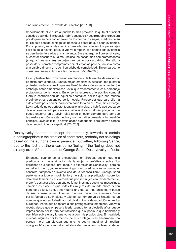sino simplemente un invento del escritor. [25; 193]

Sencillamente él le quita al pueblo lo más preciado, le quita el principal sentido de su vida. Sin duda, le habría gustado si nuestro pueblo no pusiera por doquier su corazón en favor de los hermanos suyos, mártires de su fe. En este sentido él niega los hechos, a pesar de que sean evidentes. Por supuesto, esta idea está expresada tan solo en los personajes ficticios de la novela, pero, lo vuelvo a repetir, con demasiada evidencia se percibe junto a ellos al mismo autor. Sin embargo, el libro es sincero, el escritor descubre su alma. Incluso las cosas más comprometedoras (y aquí sí que existen), se dejan caer como por casualidad. Por ello, a pesar de su carácter comprometedor, el lector las percibe tan solo como una palabra directa y no ve ni un atisbo de complejidad. Sin embargo, no considero que ese libro sea tan inocente. [25; 202-203]

Es muy triste el hecho de que un escritor de su talla escriba de esa forma. Es triste para el futuro. Aunque mejor, empiezo la cuestión: me gustaría protestar, señalar aquello que me llamó la atención especialmente. Sin embargo, antes empezaré con Levin, que evidentemente, es el personaje protagonista de la novela. En él se ha expresado lo positivo como si fuera la contradicción de aquellas anomalías por las que han muerto o sufrido otros personajes de la novela. Parece ser que para ello ha sido creado por el autor, para expresarlo todo en él. Pero, sin embargo, Levin todavía no es perfecto, todavía le falta algo, y habría que ocuparse de ello, solucionarlo para evitar cualquier duda, cualquier pregunta que pueda encerrar en sí Levin. Más tarde el lector comprenderá por qué le presto atención a este hecho y no paso directamente a la cuestión principal. Levin es feliz, la novela acaba alabándole, pero todavía carece de un mundo interior espiritual. [25; 203]

Dostoyevsky seems to accept the tendency towards a certain autobiographism in the creation of characters, probably not as beings based on the author's own experience, but rather, following Sartre, due to the fact that there can be no 'being' if the 'being' does not already exist. After the death of George Sand, Dostoyevsky reflects:

> Entonces, cuando se la encontraban en Europa, decían que ella predicaba la nueva situación de la mujer y profetizaba sobre "los derechos de la esposa libre" (según la expresión de Senkovsky); pero no es del todo cierto, ya que ella en ningún caso predicaba sobre una mujer concreta, tampoco se inventó eso de la "esposa libre". George Sand pertenecía a todo el movimiento y no solo a la predicación sobre los derechos femeninos. Es verdad que por ser mujer, ella, evidentemente, prefería destacar a los personajes femeninos más que a los masculinos. También es evidente que todas las mujeres del mundo ahora deben ponerse de luto, ya que ha muerto una de las más brillantes y bellas de sus representantes. Además, fue una mujer prácticamente única por la fuerza de su intelecto y talento: su nombre ya es historia, es un nombre que no está destinado al olvido ni a la desaparición entre los europeos. Por lo que se refiere a sus protagonistas femeninas, vuelvo a repetir, desde que empecé a leerla cuando tenía dieciséis años quedé impresionado por la rara contradicción que suponía lo que hablaban y escribían sobre ella y lo que yo veía con mis propios ojos. En realidad, muchas, algunas por lo menos, de sus protagonistas encerraban una pureza moral tan elevada que uno no podría imaginar sin realizar una gran búsqueda moral en el alma del poeta, sin profesar el deber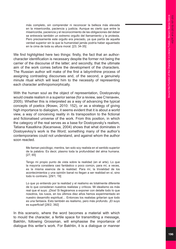más completo, sin comprender ni reconocer la belleza más elevada en la misericordia, paciencia y justicia. Aunque es cierto que entre la misericordia, paciencia y el reconocimiento de las obligaciones del deber se entreveía también un extremo orgullo del llamamiento y la protesta. Pero precisamente este orgullo era preciado, ya que partía de aquella verdad superior sin la que la humanidad jamás podría haber aguantado en la cima de toda su altura moral. [23; 34-35]

We find highlighted here two things: firstly, the fact that an authorcharacter identification is necessary despite the former not being the carrier of the discourse of the latter; and secondly, that the ultimate aim of the work comes before the development of the characters. The Russian author will make of the first a labyrinthine process of assigning contrasting discourses and, of the second, a genuinely minute ritual which will lead him to the necessity of representing each character anthropomorphically.

With the human soul as the object of representation, Dostoyevsky would create realism in a superior sense (for a review, see Степанян, 2005). Whether this is interpreted as a way of advancing the typical concepts of poetics (Фокин, 2010: 152), or as a strategy of giving high importance to dialogism, it seems evident that it is about a world view, a way of conceiving reality in its transposition to the fictional and fictionalised universe of the work. From this position, in which the category of the real serves as a base for Dostoyevsky's realism, Tatiana Kasatkina (Касаткина, 2004) shows that what dominates in Dostoyevksy's work is the Word; something many of the author's contemporaries could not understand, and against whom the author soon reacted.

> Me llaman psicólogo; mentira, tan solo soy realista en el sentido superior de la palabra. Es decir, plasmo toda la profundidad del alma humana. [27; 65]

> Tengo mi propio punto de vista sobre la realidad (en el arte). Lo que la mayoría considera casi fantástico o poco común, para mí, a veces, es la misma esencia de la realidad. Para mí, la trivialidad de los acontecimientos y una opinión banal no llegan a ser realidad en sí, sino todo lo contrario. [29/1; 19]

> Lo que yo entiendo por la realidad y el realismo es totalmente diferente de lo que consideran nuestros realistas y críticos. Mi idealismo es más real que el suyo. ¡Dios! Si llegáramos a exponer con detalle todo lo que nosotros, los rusos, en los últimos diez años hemos experimentado en nuestro desarrollo espiritual… Entonces los realistas gritarían que todo es una fantasía. Esto también es realismo, pero más profundo. ¡El suyo es superficial! [28/2; 392]

In this scenario, where the word becomes a material with which to mould the character, a fertile space for transmitting a message, Bakhtin, following Grossman, will emphasise the importance of dialogue this writer's work. For Bakhtin, it is a dialogue or manner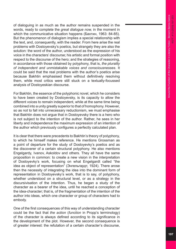of dialoguing in as much as the author remains suspended in the words, ready to complete the *great dialogue now,* in the moment in which the communicative situation happens (Бахтин, 1963: 84-85). But the phenomenon of dialogism implies a special relationship with the text, and, consequently, with the reader. From here arise the real problems with Dostoyevsky's poetics, but strangely they are also the solution: the word of the author, understood as the expression of his voice in the characters' discourse; his artistic and formal position with respect to the discourse of the hero; and the strategies of reasoning, in accordance with those obtained by polyphony, that is, *the plurality of independent and unmistakable voices and consciousnesses*. It could be said that the real problems with the author's poetics arise because Bakhtin emphasised them without definitively resolving them, while most critics were still stuck on a textually-focussed analysis of Dostoyeskian discourse.

For Bakhtin, the essence of the polyphonic novel, which he considers to have been created by Dostoyevsky, is its capacity to allow the different voices to remain independent, while at the same time being combined into a unity greatly superior to that of homophony. However, so as not to fall into unnecessary reductionism, we must emphasise that Bakhtin does not argue that in Dostoyevsky there is a hero who is not subject to the intention of the author. Rather, he sees in her liberty and independence the maximum expression of an intention of the author which previously configures a perfectly calculated plan.

It is clear that there were precedents to Bakhtin's theory of polyphony, to which he himself makes reference. He mentions Grossman as a point of departure for the study of Dostoyevky's poetics and as the discoverer of a certain structural polyphony. He also mentions Engelgardy, Ivanov, Askoldov and others. They all have the same proposition in common: to create a new vision in the interpretation of Dostoyevky's work, focusing on what Engelgardt called "the idea as object of representation" (Энгельгардт, 1924). There arose then the necessity of integrating the idea into the dominant form of representation in Dostoyevsky's work, that is to say, of polyphony, whether understood on a structural level, or as a strategy in the discursivisation of the intention. Thus, he began a study of the character as a bearer of the idea, until he reached a conception of the idea-character; that is, of the fragmentation of the intention of the author into ideas, which one character or group of characters had to embody.

One of the first consequences of this way of understanding character could be the fact that *the action* (*function* in Propp's terminology) of the character is always defined according to its significance in the development of the plot. However, the second consequence is of greater interest: the refutation of a certain character's discourse,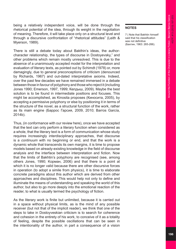being a relatively independent voice, will be done through the rhetorical potential of the idea, through its weight in the negotiation of meaning. Therefore, it will take place only on a structural level and through a discursive confrontation of "rhetorical attitudes" (Leith & Myerson, 1989).

There is still a debate today about Bakthin's ideas, the authorcharacter relationship, the types of discourse in Dostoyevsky,<sup>7</sup> and other problems which remain mostly unresolved. This is due to the absence of a unanimously accepted model for the interpretation and evaluation of literary texts, as pointed out by Schimdt (1978) or, more damagingly, due to general preconceptions of criticism (denounced by Richards, 1967) and out-dated interpretative axioms. Indeed, over the past few decades we have remained immersed in a debate between those in favour of polyphony and those who reject it (including Jones 1990; Emerson, 1997, 1999; Келдыш, 2009). Maybe the best solution is to be found in intermediate positions and focuses. This might be accomplished, as Kinosita proposes (Киносита, 2005), by accepting a permissive polyphony or else by positioning it in terms of the structure of the novel, as a structural function of the work, rather as its main engine (Баррос Гарсия, 2009, 2010; Barros García, 2014b).

Thus, (in conformance with our review here), once we have accepted that the text can only perform a literary function when considered as a whole, that the literary text is a form of communication whose study requires increasingly interdisciplinary approaches, that discourse is a *continuum* with no beginning or end, and that the work is a dynamic whole that transcends its own margins, it is time to propose models based on already-existing knowledge in the field of discourse analysis and the interface between interpretation and fiction. Now that the limits of Bakhtin's polyphony are recognised (see, among others Jones, 1990; Kорман, 2006) and that there is a point at which it is no longer valid because there are other discursive forces in operation (to adopt a simile from physics), it is time to elaborate concrete paradigms about this author which are derived from other approaches and disciplines. This would help not only to define and illuminate the means of understanding and speaking the world of this author, but also to go more deeply into the emotional reaction of the reader, to what is usually termed the psychology of fiction.

As the literary work is finite but unlimited, because it is carried out in a space without physical limits, as is the mind of any possible receiver (but not that of the implicit reader), we think that one of the steps to take in Dostoyveskian criticism is to search for coherence and cohesion in the entirety of his work, to conceive of it as a totality of feeling, despite the possible oscillations that can be seen in the intentionality of the author, in part a consequence of a vision

### **NOTES**

7 | Note that Bakhtin himself said that his classification was not definitive (Бахтин, 1963: 265-266).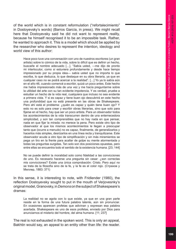of the world which is in constant reformulation ("refortalecimiento" in Dostoyevsky's words) (Barros García, in press). We might recall here that Dostoyevsky said he did not want to represent reality, because he himself recognised it to be an impossible task. Rather, he wanted to approach it. This is a model which should be applied by the researcher who desires to represent the intention, ideology and world view of this author:

Hace poco tuve una conversación con uno de nuestros escritores (un gran artista) sobre lo cómico de la vida, sobre lo difícil que es definir un hecho, buscarle el nombre adecuado […]. "Sabía usted, ―me dijo de pronto mi interlocutor, como si estuviera profundamente y desde hace tiempo impresionado por su propia idea― sabía usted que no importa lo que escriba, lo que deduzca, lo que destaque en su obra literaria, ya que en cualquier caso no se podrá acercar a la realidad". […] Yo ya lo sabía aún en el año 46, cuando comencé a escribir, quizá un poco antes. Este hecho me había impresionado más de una vez y me hacía preguntarme sobre la utilidad del arte con su tan evidente impotencia. Y es verdad, pruebe a estudiar un hecho de la vida real, cualquiera que incluso no sea evidente a primera vista. Y si es capaz y tiene buen ojo descubrirá en este hecho una profundidad que no está presente en las obras de Shakespeare. Pero ahí está el problema: ¿quién es capaz y quién tiene buen ojo? Y esto no es solo para crear y escribir obras literarias, sino que solo para fijarse en el hecho, hay que ser un poco artista. Para un observador todos los acontecimientos de la vida transcurren dentro de una enternecedora simplicidad, y son tan comprensibles que no hay nada en que pensar, nada en que fijar la mirada: no merece la pena. Pero existe otro tipo de observador al que los mismos acontecimientos le llegan a preocupar tanto que (ocurre a menudo) no es capaz, finalmente, de generalizarlos y hacerlos más simples, desrizarlos en una línea recta y tranquilizarse. Este observador acude a otro tipo de simplificación y sin más miramientos se pega un tiro en la frente para acallar de golpe su mente atormentada y todas las preguntas surgidas. Tan solo son dos posiciones opuestas, pero entre ellas se encuentra todo el sentido de la existencia humana. [23; 144]

No se puede definir la moralidad solo como fidelidad a las convicciones de uno. Es necesario hacerse una pregunta sin cesar: ¿son correctas mis convicciones? Existe una única comprobación: Cristo. Pero aquí no se trata de la filosofía sino de la fe, y la fe es el color rojo. (Страхов y Миллер, 1883: 371)

In this sense, it is interesting to note, with Fridlender (1980), the reflection Dostoyevsky sought to put in the mouth of Verjovesnky's original model, Granovsky, in *Demons* on the subject of Shakespeare's dramas:

La realidad no se agota con lo que existe, ya que en una gran parte reside en la forma de una futura palabra latente, aún sin pronunciar. En ocasiones aparecen profetas que adivinan y expresan esa palabra acertada. Shakespeare es uno de esos profetas, enviado por Dios para anunciarnos el misterio del hombre, del alma humana. [11; 237]

The real is not exhausted in the spoken word. This is only an appeal, Bakhtin would say, an appeal to an entity other than life: the reader.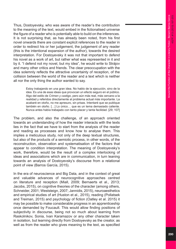Thus, Dostoyevsky, who was aware of the reader's the contribution to the meaning of the text, would embed in the fictionalised universe the figure of a reader who is potentially able to build on the inferences. It is not surprising that, as has already been noted, from his first novel onwards there are constant explicit references to the reader in order to redirect his or her judgement, the judgement of any reader (this is the intentional expansion of the author), towards the desired interpretation. For Dostoyevsky it was not that important to defend his novel as a work of art, but rather what was represented in it and by it. "I defend not my novel, but my idea", he would write to Strájov and many other critics and friends. The clear preoccupation with the idea solemnly reflects the attractive uncertainty of reception, of the collision between the world of the reader and a text which is neither all nor the only thing the author wanted to say.

> Estoy trabajando en una gran idea. No hablo de la ejecución, sino de la idea. Es una de esas ideas que provocan un efecto seguro en el público. Algo del estilo de *Crimen y castigo*, pero aún más real, más cercano a la realidad y referidos directamente al problema actual más importante. La acabaré en otoño, no me apresuro, sin prisas. Intentaré que se publique también en otoño. […] Lo único… que es un tema demasiado caliente. Nunca antes había trabajado con tanto placer y tanta facilidad. [29; 107]

The problem, and also the challenge, of an approach oriented towards an understanding of how the reader interacts with the texts lies in the fact that we have to start from the analysis of the reader and reading as processes and know how to analyse them. This implies a meticulous study, not only of the deep textual structures, but also of the products of a semiotic process, in other words, of the reconstruction, observation and systematisation of the factors that appear to condition interpretation. The meaning of Dostoyevsky's work, therefore, would be the result of a complex interlocking of ideas and associations which are in communication, in turn leaning towards an analysis of Dostoyevsky's discourse from a relational point of view (Barros García, 2015).

In the era of neuroscience and Big Data, and in the context of great and valuable advances of neurocognitive approaches centred on literature and reception (Miall, 2009; Bernaerts et al., 2013; Jacobs, 2015), on cognitive theories of the character (among others, Schneider, 2001; Weststeign, 2007; Jannidis, 2015), neuroaesthetics and empirical studies of art (Huston et al., 2015), reading (Pollatsek and Treiman, 2015) and psychology of fiction (Oatley et al. 2015) it may be possible to make considerable progress in an apprenticeship once demanded by Foucault. This would allow finding positions of subjectivity in discourse, being not so much about learning from Raskolnikov, Sonia, Ivan Karamazov or any other character taken in isolation, but learning directly from Dostoyevsky as the creator, as well as from the reader who gives meaning to the text, as specified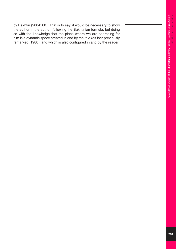by Bakhtin (2004: 60). That is to say, it would be necessary to show the author in the author, following the Bakhtinian formula, but doing so with the knowledge that the place where we are searching for him is a dynamic space created in and by the text (as Iser previously remarked, 1980), and which is also configured in and by the reader.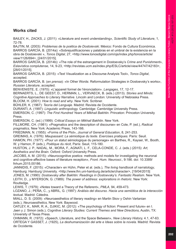## **Works cited**

BAILEY, H., ZACKS, J. (2011): «Literature and event understanding», *Scientific Study of Literature*, 1, 72-78.

BAJTIN, M. (2003): *Problemas de la poética de Dostoievski*. México: Fondo de Cultura Económica. BARROS GARCÍA, B. (2014a): «Sobrejustificaciones y palabras en el umbral de la existencia en la obra de Dostoievski », *Tonos Digital*, 27, <http://www.tonosdigital.com/ojs/index.php/tonos/article/ view/1126/694>, [24/01/2015].

BARROS GARCÍA, B. (2014b): «The role of the estrangement in Dostoevsky's *Crime and Punishment*», *Eslavística complutense*, 14, 9-23, <http://revistas.ucm.es/index.php/ESLC/article/view/44747/42183>, [28/01/2015].

BARROS GARCÍA, B. (2015): «Text Visualization as a Discourse Analysis Tool», *Tonos Digital*, accepted.

BARROS GARCÍA, B. (*en prensa*): «In Other Words: Reformulation Strategies in Dostoevsky's works», *Russian Literature*, accepted.

BENVENISTE, E. (1970): «L'appareil formel de l'énonciation». *Langages*, 17, 12-17.

BERNAERTS, L., DE GEEST, D., HERMAN, L., VERVAECK, B. (eds.) (2013). *Stories and Minds: Cognitive Approaches to Literary Narrative*. Lincoln and London: University of Nebraska Press. BLOOM, H. (2001): *How to read and why*. New York: Scribner.

BÜHLER, K. (1967): *Teoría del Lenguaje.* Madrid: Revista de Occidente.

DURANTI, A. (1997): *Linguistic anthropology.* Cambridge: Cambridge University Press.

EMERSON, C. (1997): *The First Hundred Years of Mikhail Bakhtin*. Princeton: Princeton University Press.

EMERSON, C. (ed.) (1999): *Critical Essays on Mikhail Bakhtin*. New York.

FILLMORE, CH. (1981): «Pragmatics and the description of discourse» en Cole, P. (ed.), *Radical pragmatics*, New York: Academic Press, 143-166.

FRIEDMAN, N. (1955): «Forms of the Plot», *Journal of General Education*, 8, 241-253.

GREIMAS, A. (1976): *Maupassant: La sémiotique du texte. Exercises pratiques.* París: Seuil.

HAMON, PH. (1977): «Pour un statut sémiologique du personage» en Barthes, R., Kayser, W., Booth, W. y Hamon, P. (eds.), *Poétique du récit*, París: Seuil, 115-180.

HUSTON, J. P., NADAL, M., MORA, F., AGNATI, L. F., CELA-CONDE, C. J. (eds.) (2015): *Art, Aesthetics and the Brain*. Oxford: Oxford University Press.

JACOBS, A. M. (2015): «Neurocognitive poetics: methods and models for investigating the neuronal and cognitive-affective bases of literature reception», *Front. Hum. Neurosci.*, 9:186. doi: 10.3389/ fnhum.2015.00186.

JANNIDIS, F. (2015): «Character» en Hühn, Peter et al. (eds.), *The living handbook of narratology*, Hamburg: Hamburg University. <http://www.lhn.uni-hamburg.de/article/character>, [19/04/2015]

JONES, M. (1990): *Dostoevsky after Bakhtin: Readings in Dostoevsky's. Fantastic Realism*. New York. LEITH, D., y MYERSON, G. (1989): *The power of address: explorations in rhetoric*. New York: Routledge.

LEWIS, T. (1979): «Notes toward a Theory of the Referent», *PMLA,* 94, 459-473.

LOZANO, J.; PEÑA, C., y ABRIL, G. (1997): *Análisis del discurso. Hacia una semiótica de la interacción textual.* Madrid: Cátedra.

MIALL, D. S. (2009): «Neuroaesthetics of literary reading» en Martin Skov y Oshin Vartanian (eds.), *Neuroaesthetics,* New York: Baywood.

OATLEY, K., MAR, R. A., DJIKIC, M. (2012): «The psychology of fiction: Present and future» en I. Jaen y J. Simon (eds.), *Cognitive Literary Studies: Current Themes and New Directions,* Austin, TX: University of Texas Press.

OHMANN, R. (1972): *«*Speech, Literature, and the Space Between»*, New Literary History,* 4.1, 47-63. ORTEGA Y GASSET, J. (1925), *La deshumanización del arte e Ideas sobre la novela.* Madrid: Revista de Occidente*.*